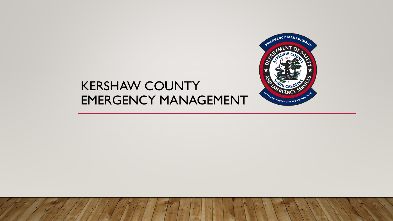

#### KERSHAW COUNTY EMERGENCY MANAGEMENT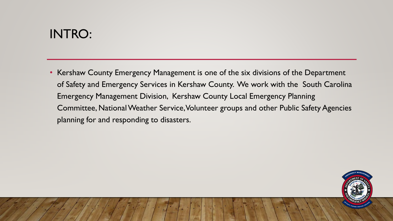# INTRO:

• Kershaw County Emergency Management is one of the six divisions of the Department of Safety and Emergency Services in Kershaw County. We work with the South Carolina Emergency Management Division, Kershaw County Local Emergency Planning Committee, National Weather Service, Volunteer groups and other Public Safety Agencies planning for and responding to disasters.

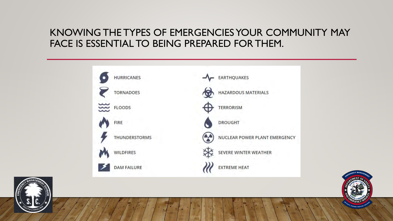#### KNOWING THE TYPES OF EMERGENCIES YOUR COMMUNITY MAY FACE IS ESSENTIAL TO BEING PREPARED FOR THEM.





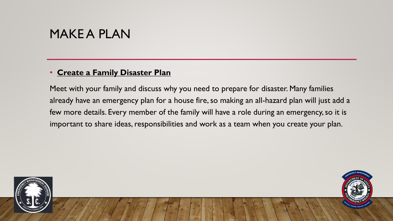#### MAKE A PLAN

#### • **Create a Family Disaster Plan**

Meet with your family and discuss why you need to prepare for disaster. Many families already have an emergency plan for a house fire, so making an all-hazard plan will just add a few more details. Every member of the family will have a role during an emergency, so it is important to share ideas, responsibilities and work as a team when you create your plan.



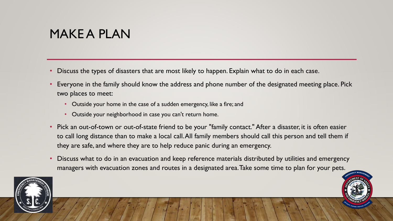# MAKE A PLAN

- Discuss the types of disasters that are most likely to happen. Explain what to do in each case.
- Everyone in the family should know the address and phone number of the designated meeting place. Pick two places to meet:
	- Outside your home in the case of a sudden emergency, like a fire; and
	- Outside your neighborhood in case you can't return home.
- Pick an out-of-town or out-of-state friend to be your "family contact." After a disaster, it is often easier to call long distance than to make a local call. All family members should call this person and tell them if they are safe, and where they are to help reduce panic during an emergency.
- Discuss what to do in an evacuation and keep reference materials distributed by utilities and emergency managers with evacuation zones and routes in a designated area. Take some time to plan for your pets.

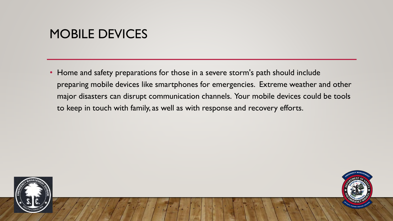# MOBILE DEVICES

• Home and safety preparations for those in a severe storm's path should include preparing mobile devices like smartphones for emergencies. Extreme weather and other major disasters can disrupt communication channels. Your mobile devices could be tools to keep in touch with family, as well as with response and recovery efforts.



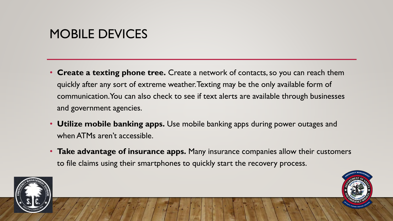# MOBILE DEVICES

- **Create a texting phone tree.** Create a network of contacts, so you can reach them quickly after any sort of extreme weather. Texting may be the only available form of communication. You can also check to see if text alerts are available through businesses and government agencies.
- **Utilize mobile banking apps.** Use mobile banking apps during power outages and when ATMs aren't accessible.
- **Take advantage of insurance apps.** Many insurance companies allow their customers to file claims using their smartphones to quickly start the recovery process.



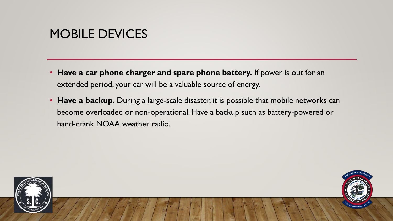# MOBILE DEVICES

- **Have a car phone charger and spare phone battery.** If power is out for an extended period, your car will be a valuable source of energy.
- **Have a backup.** During a large-scale disaster, it is possible that mobile networks can become overloaded or non-operational. Have a backup such as battery-powered or hand-crank NOAA weather radio.



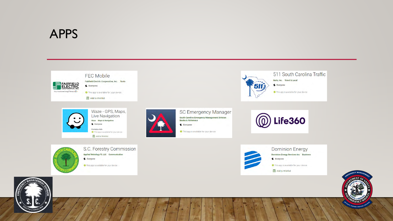#### APPS



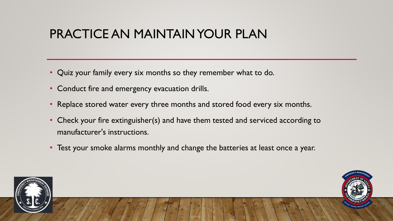# PRACTICE AN MAINTAIN YOUR PLAN

- Quiz your family every six months so they remember what to do.
- Conduct fire and emergency evacuation drills.
- Replace stored water every three months and stored food every six months.
- Check your fire extinguisher(s) and have them tested and serviced according to manufacturer's instructions.
- Test your smoke alarms monthly and change the batteries at least once a year.



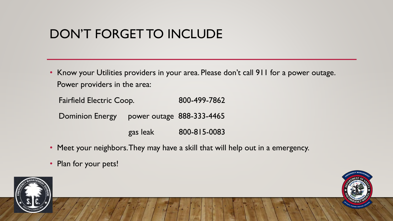# DON'T FORGET TO INCLUDE

• Know your Utilities providers in your area. Please don't call 911 for a power outage. Power providers in the area:

Fairfield Electric Coop. 800-499-7862

Dominion Energy power outage 888-333-4465

gas leak 800-815-0083

- Meet your neighbors. They may have a skill that will help out in a emergency.
- Plan for your pets!